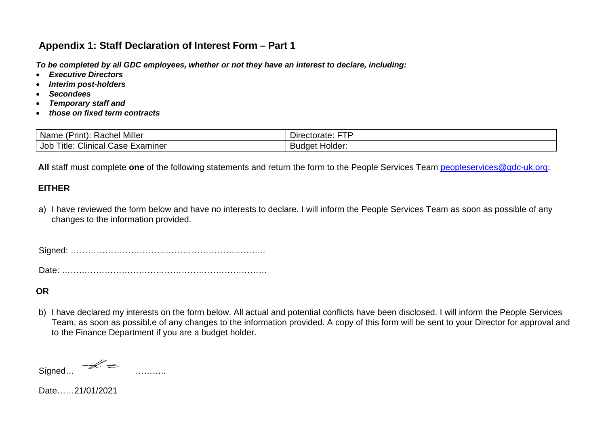# **Appendix 1: Staff Declaration of Interest Form – Part 1**

*To be completed by all GDC employees, whether or not they have an interest to declare, including:* 

- *Executive Directors*
- *Interim post-holders*
- *Secondees*
- *Temporary staff and*
- *those on fixed term contracts*

| <b>Rachel Miller</b>                          | ---                      |
|-----------------------------------------------|--------------------------|
| Name                                          | $-1 - 2 - 1$             |
| rınt,                                         | Directorate:             |
| Clinical<br>⊺itle<br>Job<br>Examiner<br>Case. | Holder:<br><b>Budget</b> |

All staff must complete one of the following statements and return the form to the People Services Team [peopleservices@gdc-uk.org:](mailto:peopleservices@gdc-uk.org)

#### **EITHER**

a) I have reviewed the form below and have no interests to declare. I will inform the People Services Team as soon as possible of any changes to the information provided.

Signed: …………………………………………………………..

Date: ………………………………………………………………

#### **OR**

b) I have declared my interests on the form below. All actual and potential conflicts have been disclosed. I will inform the People Services Team, as soon as possibl,e of any changes to the information provided. A copy of this form will be sent to your Director for approval and to the Finance Department if you are a budget holder.

Signed… ………..

Date……21/01/2021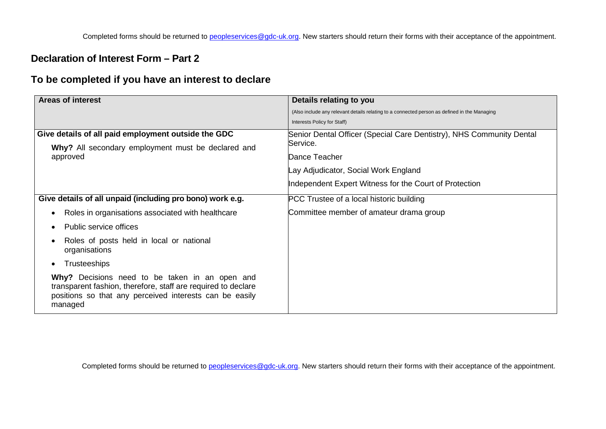### **Declaration of Interest Form – Part 2**

## **To be completed if you have an interest to declare**

| <b>Areas of interest</b>                                                                                                                                                              | Details relating to you                                                                      |
|---------------------------------------------------------------------------------------------------------------------------------------------------------------------------------------|----------------------------------------------------------------------------------------------|
|                                                                                                                                                                                       | (Also include any relevant details relating to a connected person as defined in the Managing |
|                                                                                                                                                                                       | Interests Policy for Staff)                                                                  |
| Give details of all paid employment outside the GDC                                                                                                                                   | Senior Dental Officer (Special Care Dentistry), NHS Community Dental                         |
| Why? All secondary employment must be declared and                                                                                                                                    | Service.                                                                                     |
| approved                                                                                                                                                                              | Dance Teacher                                                                                |
|                                                                                                                                                                                       | ay Adjudicator, Social Work England                                                          |
|                                                                                                                                                                                       | Independent Expert Witness for the Court of Protection                                       |
| Give details of all unpaid (including pro bono) work e.g.                                                                                                                             | PCC Trustee of a local historic building                                                     |
| Roles in organisations associated with healthcare<br>$\bullet$                                                                                                                        | Committee member of amateur drama group                                                      |
| Public service offices<br>$\bullet$                                                                                                                                                   |                                                                                              |
| Roles of posts held in local or national<br>organisations                                                                                                                             |                                                                                              |
| <b>Trusteeships</b><br>$\bullet$                                                                                                                                                      |                                                                                              |
| Why? Decisions need to be taken in an open and<br>transparent fashion, therefore, staff are required to declare<br>positions so that any perceived interests can be easily<br>managed |                                                                                              |

Completed forms should be returned to [peopleservices@gdc-uk.org.](mailto:peopleservices@gdc-uk.org) New starters should return their forms with their acceptance of the appointment.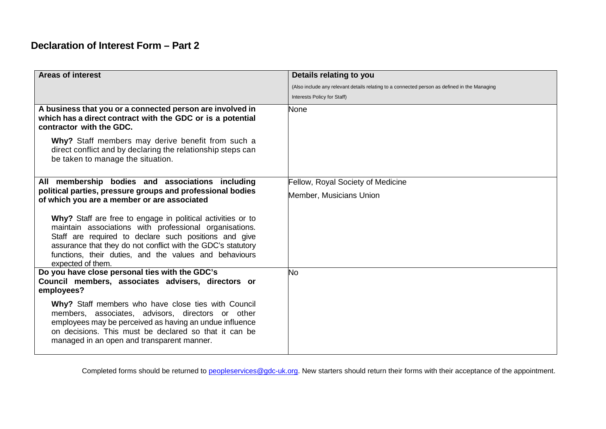# **Declaration of Interest Form – Part 2**

| <b>Areas of interest</b>                                                                                                                                                                                                                                                                                                      | Details relating to you                                                                      |
|-------------------------------------------------------------------------------------------------------------------------------------------------------------------------------------------------------------------------------------------------------------------------------------------------------------------------------|----------------------------------------------------------------------------------------------|
|                                                                                                                                                                                                                                                                                                                               | (Also include any relevant details relating to a connected person as defined in the Managing |
|                                                                                                                                                                                                                                                                                                                               | Interests Policy for Staff)                                                                  |
| A business that you or a connected person are involved in<br>which has a direct contract with the GDC or is a potential<br>contractor with the GDC.                                                                                                                                                                           | None                                                                                         |
| Why? Staff members may derive benefit from such a<br>direct conflict and by declaring the relationship steps can<br>be taken to manage the situation.                                                                                                                                                                         |                                                                                              |
| All membership bodies and associations including                                                                                                                                                                                                                                                                              | <b>Fellow, Royal Society of Medicine</b>                                                     |
| political parties, pressure groups and professional bodies<br>of which you are a member or are associated                                                                                                                                                                                                                     | Member, Musicians Union                                                                      |
| Why? Staff are free to engage in political activities or to<br>maintain associations with professional organisations.<br>Staff are required to declare such positions and give<br>assurance that they do not conflict with the GDC's statutory<br>functions, their duties, and the values and behaviours<br>expected of them. |                                                                                              |
| Do you have close personal ties with the GDC's<br>Council members, associates advisers, directors or<br>employees?                                                                                                                                                                                                            | <b>No</b>                                                                                    |
| Why? Staff members who have close ties with Council<br>members, associates, advisors, directors or other<br>employees may be perceived as having an undue influence<br>on decisions. This must be declared so that it can be<br>managed in an open and transparent manner.                                                    |                                                                                              |

Completed forms should be returned to [peopleservices@gdc-uk.org.](mailto:peopleservices@gdc-uk.org) New starters should return their forms with their acceptance of the appointment.